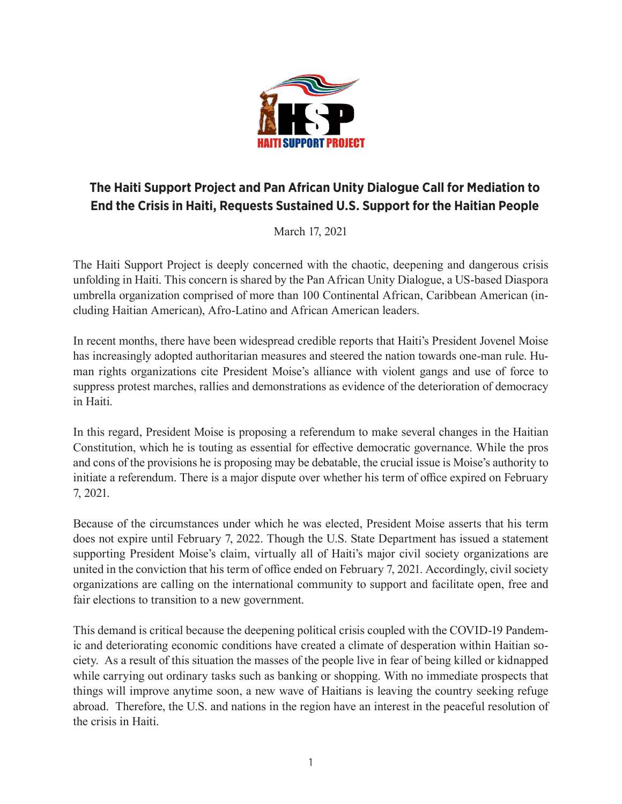

## **The Haiti Support Project and Pan African Unity Dialogue Call for Mediation to End the Crisis in Haiti, Requests Sustained U.S. Support for the Haitian People**

March 17, 2021

The Haiti Support Project is deeply concerned with the chaotic, deepening and dangerous crisis unfolding in Haiti. This concern is shared by the Pan African Unity Dialogue, a US-based Diaspora umbrella organization comprised of more than 100 Continental African, Caribbean American (including Haitian American), Afro-Latino and African American leaders.

In recent months, there have been widespread credible reports that Haiti's President Jovenel Moise has increasingly adopted authoritarian measures and steered the nation towards one-man rule. Human rights organizations cite President Moise's alliance with violent gangs and use of force to suppress protest marches, rallies and demonstrations as evidence of the deterioration of democracy in Haiti.

In this regard, President Moise is proposing a referendum to make several changes in the Haitian Constitution, which he is touting as essential for effective democratic governance. While the pros and cons of the provisions he is proposing may be debatable, the crucial issue is Moise's authority to initiate a referendum. There is a major dispute over whether his term of office expired on February 7, 2021.

Because of the circumstances under which he was elected, President Moise asserts that his term does not expire until February 7, 2022. Though the U.S. State Department has issued a statement supporting President Moise's claim, virtually all of Haiti's major civil society organizations are united in the conviction that his term of office ended on February 7, 2021. Accordingly, civil society organizations are calling on the international community to support and facilitate open, free and fair elections to transition to a new government.

This demand is critical because the deepening political crisis coupled with the COVID-19 Pandemic and deteriorating economic conditions have created a climate of desperation within Haitian society. As a result of this situation the masses of the people live in fear of being killed or kidnapped while carrying out ordinary tasks such as banking or shopping. With no immediate prospects that things will improve anytime soon, a new wave of Haitians is leaving the country seeking refuge abroad. Therefore, the U.S. and nations in the region have an interest in the peaceful resolution of the crisis in Haiti.